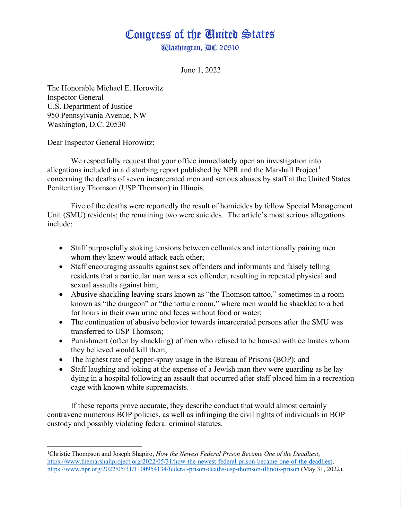## Congress of the United States **Wlashington, DC 20510**

June 1, 2022

The Honorable Michael E. Horowitz Inspector General U.S. Department of Justice 950 Pennsylvania Avenue, NW Washington, D.C. 20530

Dear Inspector General Horowitz:

We respectfully request that your office immediately open an investigation into allegations included in a disturbing report published by NPR and the Marshall Project<sup>[1](#page-0-0)</sup> concerning the deaths of seven incarcerated men and serious abuses by staff at the United States Penitentiary Thomson (USP Thomson) in Illinois.

Five of the deaths were reportedly the result of homicides by fellow Special Management Unit (SMU) residents; the remaining two were suicides. The article's most serious allegations include:

- Staff purposefully stoking tensions between cellmates and intentionally pairing men whom they knew would attack each other;
- Staff encouraging assaults against sex offenders and informants and falsely telling residents that a particular man was a sex offender, resulting in repeated physical and sexual assaults against him;
- Abusive shackling leaving scars known as "the Thomson tattoo," sometimes in a room known as "the dungeon" or "the torture room," where men would lie shackled to a bed for hours in their own urine and feces without food or water;
- The continuation of abusive behavior towards incarcerated persons after the SMU was transferred to USP Thomson;
- Punishment (often by shackling) of men who refused to be housed with cellmates whom they believed would kill them;
- The highest rate of pepper-spray usage in the Bureau of Prisons (BOP); and
- Staff laughing and joking at the expense of a Jewish man they were guarding as he lay dying in a hospital following an assault that occurred after staff placed him in a recreation cage with known white supremacists.

If these reports prove accurate, they describe conduct that would almost certainly contravene numerous BOP policies, as well as infringing the civil rights of individuals in BOP custody and possibly violating federal criminal statutes.

<span id="page-0-0"></span><sup>1</sup> Christie Thompson and Joseph Shapiro, *How the Newest Federal Prison Became One of the Deadliest*, [https://www.themarshallproject.org/2022/05/31/how-the-newest-federal-prison-became-one-of-the-deadliest;](https://www.themarshallproject.org/2022/05/31/how-the-newest-federal-prison-became-one-of-the-deadliest)  <https://www.npr.org/2022/05/31/1100954134/federal-prison-deaths-usp-thomson-illinois-prison> (May 31, 2022).